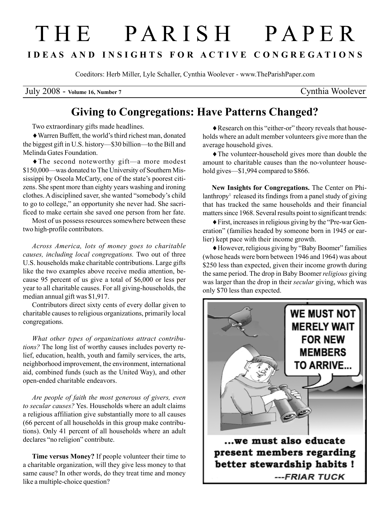## T H E P A R I S H P A P E R I D E A S A N D I N S I G H T S F O R A C T I V E C O N G R E G A T I O N S

Coeditors: Herb Miller, Lyle Schaller, Cynthia Woolever - www.TheParishPaper.com

July 2008 - Volume 16, Number 7 Cynthia Woolever

## Giving to Congregations: Have Patterns Changed?

Two extraordinary gifts made headlines.

♦Warren Buffett, the world's third richest man, donated the biggest gift in U.S. history—\$30 billion—to the Bill and Melinda Gates Foundation.

♦The second noteworthy gift—a more modest \$150,000—was donated to The University of Southern Mississippi by Oseola McCarty, one of the state's poorest citizens. She spent more than eighty years washing and ironing clothes. A disciplined saver, she wanted "somebody's child to go to college," an opportunity she never had. She sacrificed to make certain she saved one person from her fate.

Most of us possess resources somewhere between these two high-profile contributors.

Across America, lots of money goes to charitable causes, including local congregations. Two out of three U.S. households make charitable contributions. Large gifts like the two examples above receive media attention, because 95 percent of us give a total of \$6,000 or less per year to all charitable causes. For all giving-households, the median annual gift was \$1,917.

Contributors direct sixty cents of every dollar given to charitable causes to religious organizations, primarily local congregations.

What other types of organizations attract contributions? The long list of worthy causes includes poverty relief, education, health, youth and family services, the arts, neighborhood improvement, the environment, international aid, combined funds (such as the United Way), and other open-ended charitable endeavors.

Are people of faith the most generous of givers, even to secular causes? Yes. Households where an adult claims a religious affiliation give substantially more to all causes (66 percent of all households in this group make contributions). Only 41 percent of all households where an adult declares "no religion" contribute.

Time versus Money? If people volunteer their time to a charitable organization, will they give less money to that same cause? In other words, do they treat time and money like a multiple-choice question?

♦Research on this "either-or" theory reveals that households where an adult member volunteers give more than the average household gives.

♦The volunteer-household gives more than double the amount to charitable causes than the no-volunteer household gives—\$1,994 compared to \$866.

New Insights for Congregations. The Center on Philanthropy<sup>1</sup> released its findings from a panel study of giving that has tracked the same households and their financial matters since 1968. Several results point to significant trends:

♦First, increases in religious giving by the "Pre-war Generation" (families headed by someone born in 1945 or earlier) kept pace with their income growth.

♦However, religious giving by "Baby Boomer" families (whose heads were born between 1946 and 1964) was about \$250 less than expected, given their income growth during the same period. The drop in Baby Boomer religious giving was larger than the drop in their secular giving, which was only \$70 less than expected.